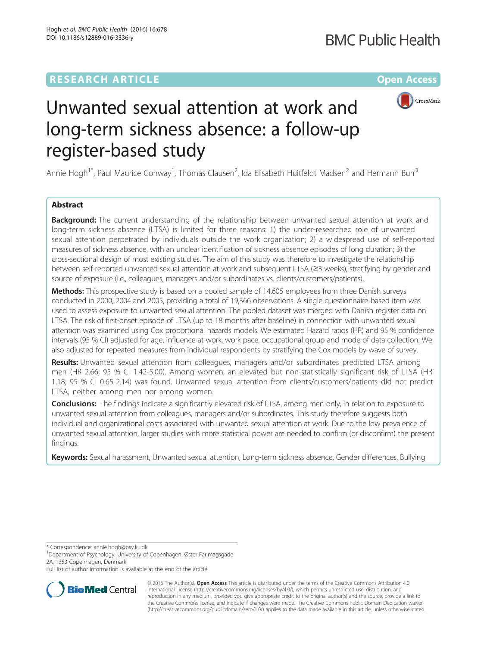## **RESEARCH ARTICLE Example 2014 12:30 The Company Access** (RESEARCH ARTICLE



# Unwanted sexual attention at work and long-term sickness absence: a follow-up register-based study

Annie Hogh<sup>1\*</sup>, Paul Maurice Conway<sup>1</sup>, Thomas Clausen<sup>2</sup>, Ida Elisabeth Huitfeldt Madsen<sup>2</sup> and Hermann Burr<sup>3</sup>

### Abstract

**Background:** The current understanding of the relationship between unwanted sexual attention at work and long-term sickness absence (LTSA) is limited for three reasons: 1) the under-researched role of unwanted sexual attention perpetrated by individuals outside the work organization; 2) a widespread use of self-reported measures of sickness absence, with an unclear identification of sickness absence episodes of long duration; 3) the cross-sectional design of most existing studies. The aim of this study was therefore to investigate the relationship between self-reported unwanted sexual attention at work and subsequent LTSA (≥3 weeks), stratifying by gender and source of exposure (i.e., colleagues, managers and/or subordinates vs. clients/customers/patients).

Methods: This prospective study is based on a pooled sample of 14,605 employees from three Danish surveys conducted in 2000, 2004 and 2005, providing a total of 19,366 observations. A single questionnaire-based item was used to assess exposure to unwanted sexual attention. The pooled dataset was merged with Danish register data on LTSA. The risk of first-onset episode of LTSA (up to 18 months after baseline) in connection with unwanted sexual attention was examined using Cox proportional hazards models. We estimated Hazard ratios (HR) and 95 % confidence intervals (95 % CI) adjusted for age, influence at work, work pace, occupational group and mode of data collection. We also adjusted for repeated measures from individual respondents by stratifying the Cox models by wave of survey.

Results: Unwanted sexual attention from colleagues, managers and/or subordinates predicted LTSA among men (HR 2.66; 95 % CI 1.42-5.00). Among women, an elevated but non-statistically significant risk of LTSA (HR 1.18; 95 % CI 0.65-2.14) was found. Unwanted sexual attention from clients/customers/patients did not predict LTSA, neither among men nor among women.

**Conclusions:** The findings indicate a significantly elevated risk of LTSA, among men only, in relation to exposure to unwanted sexual attention from colleagues, managers and/or subordinates. This study therefore suggests both individual and organizational costs associated with unwanted sexual attention at work. Due to the low prevalence of unwanted sexual attention, larger studies with more statistical power are needed to confirm (or disconfirm) the present findings.

Keywords: Sexual harassment, Unwanted sexual attention, Long-term sickness absence, Gender differences, Bullying

\* Correspondence: [annie.hogh@psy.ku.dk](mailto:annie.hogh@psy.ku.dk) <sup>1</sup>

Department of Psychology, University of Copenhagen, Øster Farimagsgade 2A, 1353 Copenhagen, Denmark

Full list of author information is available at the end of the article



© 2016 The Author(s). Open Access This article is distributed under the terms of the Creative Commons Attribution 4.0 International License [\(http://creativecommons.org/licenses/by/4.0/](http://creativecommons.org/licenses/by/4.0/)), which permits unrestricted use, distribution, and reproduction in any medium, provided you give appropriate credit to the original author(s) and the source, provide a link to the Creative Commons license, and indicate if changes were made. The Creative Commons Public Domain Dedication waiver [\(http://creativecommons.org/publicdomain/zero/1.0/](http://creativecommons.org/publicdomain/zero/1.0/)) applies to the data made available in this article, unless otherwise stated.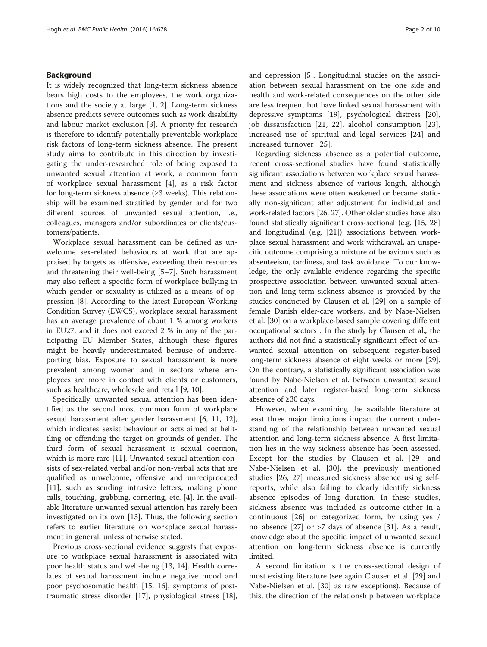#### Background

It is widely recognized that long-term sickness absence bears high costs to the employees, the work organizations and the society at large [\[1](#page-8-0), [2\]](#page-8-0). Long-term sickness absence predicts severe outcomes such as work disability and labour market exclusion [[3\]](#page-8-0). A priority for research is therefore to identify potentially preventable workplace risk factors of long-term sickness absence. The present study aims to contribute in this direction by investigating the under-researched role of being exposed to unwanted sexual attention at work, a common form of workplace sexual harassment [[4\]](#page-8-0), as a risk factor for long-term sickness absence (≥3 weeks). This relationship will be examined stratified by gender and for two different sources of unwanted sexual attention, i.e., colleagues, managers and/or subordinates or clients/customers/patients.

Workplace sexual harassment can be defined as unwelcome sex-related behaviours at work that are appraised by targets as offensive, exceeding their resources and threatening their well-being [\[5](#page-8-0)–[7\]](#page-8-0). Such harassment may also reflect a specific form of workplace bullying in which gender or sexuality is utilized as a means of oppression [[8](#page-8-0)]. According to the latest European Working Condition Survey (EWCS), workplace sexual harassment has an average prevalence of about 1 % among workers in EU27, and it does not exceed 2 % in any of the participating EU Member States, although these figures might be heavily underestimated because of underreporting bias. Exposure to sexual harassment is more prevalent among women and in sectors where employees are more in contact with clients or customers, such as healthcare, wholesale and retail [[9, 10\]](#page-8-0).

Specifically, unwanted sexual attention has been identified as the second most common form of workplace sexual harassment after gender harassment [\[6](#page-8-0), [11, 12](#page-8-0)], which indicates sexist behaviour or acts aimed at belittling or offending the target on grounds of gender. The third form of sexual harassment is sexual coercion, which is more rare [\[11](#page-8-0)]. Unwanted sexual attention consists of sex-related verbal and/or non-verbal acts that are qualified as unwelcome, offensive and unreciprocated [[11\]](#page-8-0), such as sending intrusive letters, making phone calls, touching, grabbing, cornering, etc. [[4](#page-8-0)]. In the available literature unwanted sexual attention has rarely been investigated on its own [\[13\]](#page-8-0). Thus, the following section refers to earlier literature on workplace sexual harassment in general, unless otherwise stated.

Previous cross-sectional evidence suggests that exposure to workplace sexual harassment is associated with poor health status and well-being [\[13](#page-8-0), [14](#page-8-0)]. Health correlates of sexual harassment include negative mood and poor psychosomatic health [\[15](#page-8-0), [16](#page-8-0)], symptoms of posttraumatic stress disorder [[17](#page-8-0)], physiological stress [\[18](#page-8-0)], and depression [\[5](#page-8-0)]. Longitudinal studies on the association between sexual harassment on the one side and health and work-related consequences on the other side are less frequent but have linked sexual harassment with depressive symptoms [\[19\]](#page-8-0), psychological distress [\[20](#page-8-0)], job dissatisfaction [[21, 22\]](#page-8-0), alcohol consumption [\[23](#page-8-0)], increased use of spiritual and legal services [[24](#page-8-0)] and increased turnover [[25\]](#page-8-0).

Regarding sickness absence as a potential outcome, recent cross-sectional studies have found statistically significant associations between workplace sexual harassment and sickness absence of various length, although these associations were often weakened or became statically non-significant after adjustment for individual and work-related factors [[26](#page-8-0), [27\]](#page-8-0). Other older studies have also found statistically significant cross-sectional (e.g. [\[15, 28](#page-8-0)] and longitudinal (e.g. [[21](#page-8-0)]) associations between workplace sexual harassment and work withdrawal, an unspecific outcome comprising a mixture of behaviours such as absenteeism, tardiness, and task avoidance. To our knowledge, the only available evidence regarding the specific prospective association between unwanted sexual attention and long-term sickness absence is provided by the studies conducted by Clausen et al. [\[29\]](#page-8-0) on a sample of female Danish elder-care workers, and by Nabe-Nielsen et al. [\[30\]](#page-8-0) on a workplace-based sample covering different occupational sectors . In the study by Clausen et al., the authors did not find a statistically significant effect of unwanted sexual attention on subsequent register-based long-term sickness absence of eight weeks or more [[29](#page-8-0)]. On the contrary, a statistically significant association was found by Nabe-Nielsen et al. between unwanted sexual attention and later register-based long-term sickness absence of ≥30 days.

However, when examining the available literature at least three major limitations impact the current understanding of the relationship between unwanted sexual attention and long-term sickness absence. A first limitation lies in the way sickness absence has been assessed. Except for the studies by Clausen et al. [\[29](#page-8-0)] and Nabe-Nielsen et al. [\[30](#page-8-0)], the previously mentioned studies [\[26](#page-8-0), [27\]](#page-8-0) measured sickness absence using selfreports, while also failing to clearly identify sickness absence episodes of long duration. In these studies, sickness absence was included as outcome either in a continuous [[26\]](#page-8-0) or categorized form, by using yes / no absence [[27](#page-8-0)] or >7 days of absence [[31](#page-8-0)]. As a result, knowledge about the specific impact of unwanted sexual attention on long-term sickness absence is currently limited.

A second limitation is the cross-sectional design of most existing literature (see again Clausen et al. [[29](#page-8-0)] and Nabe-Nielsen et al. [\[30\]](#page-8-0) as rare exceptions). Because of this, the direction of the relationship between workplace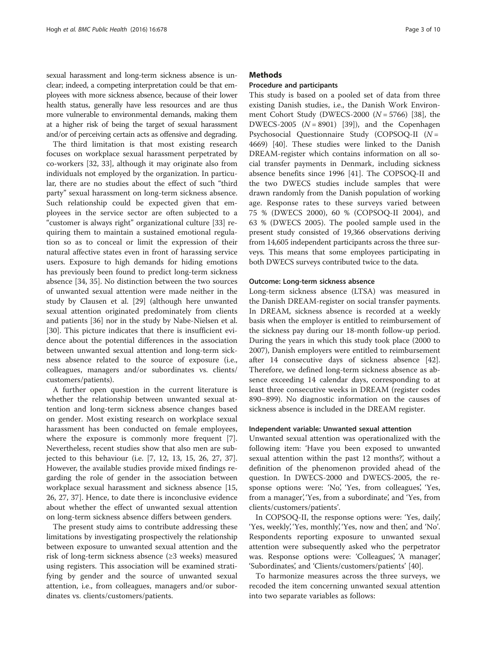sexual harassment and long-term sickness absence is unclear; indeed, a competing interpretation could be that employees with more sickness absence, because of their lower health status, generally have less resources and are thus more vulnerable to environmental demands, making them at a higher risk of being the target of sexual harassment and/or of perceiving certain acts as offensive and degrading.

The third limitation is that most existing research focuses on workplace sexual harassment perpetrated by co-workers [[32, 33](#page-8-0)], although it may originate also from individuals not employed by the organization. In particular, there are no studies about the effect of such "third party" sexual harassment on long-term sickness absence. Such relationship could be expected given that employees in the service sector are often subjected to a "customer is always right" organizational culture [[33\]](#page-8-0) requiring them to maintain a sustained emotional regulation so as to conceal or limit the expression of their natural affective states even in front of harassing service users. Exposure to high demands for hiding emotions has previously been found to predict long-term sickness absence [[34, 35](#page-8-0)]. No distinction between the two sources of unwanted sexual attention were made neither in the study by Clausen et al. [\[29](#page-8-0)] (although here unwanted sexual attention originated predominately from clients and patients [\[36](#page-8-0)] nor in the study by Nabe-Nielsen et al. [[30\]](#page-8-0). This picture indicates that there is insufficient evidence about the potential differences in the association between unwanted sexual attention and long-term sickness absence related to the source of exposure (i.e., colleagues, managers and/or subordinates vs. clients/ customers/patients).

A further open question in the current literature is whether the relationship between unwanted sexual attention and long-term sickness absence changes based on gender. Most existing research on workplace sexual harassment has been conducted on female employees, where the exposure is commonly more frequent [\[7](#page-8-0)]. Nevertheless, recent studies show that also men are subjected to this behaviour (i.e. [\[7, 12](#page-8-0), [13](#page-8-0), [15, 26, 27, 37](#page-8-0)]. However, the available studies provide mixed findings regarding the role of gender in the association between workplace sexual harassment and sickness absence [[15](#page-8-0), [26, 27, 37\]](#page-8-0). Hence, to date there is inconclusive evidence about whether the effect of unwanted sexual attention on long-term sickness absence differs between genders.

The present study aims to contribute addressing these limitations by investigating prospectively the relationship between exposure to unwanted sexual attention and the risk of long-term sickness absence (≥3 weeks) measured using registers. This association will be examined stratifying by gender and the source of unwanted sexual attention, i.e., from colleagues, managers and/or subordinates vs. clients/customers/patients.

#### **Methods**

#### Procedure and participants

This study is based on a pooled set of data from three existing Danish studies, i.e., the Danish Work Environment Cohort Study (DWECS-2000  $(N = 5766)$  [\[38](#page-8-0)], the DWECS-2005  $(N = 8901)$  [[39](#page-8-0)]), and the Copenhagen Psychosocial Questionnaire Study (COPSOQ-II  $(N =$ 4669) [\[40](#page-8-0)]. These studies were linked to the Danish DREAM-register which contains information on all social transfer payments in Denmark, including sickness absence benefits since 1996 [[41\]](#page-8-0). The COPSOQ-II and the two DWECS studies include samples that were drawn randomly from the Danish population of working age. Response rates to these surveys varied between 75 % (DWECS 2000), 60 % (COPSOQ-II 2004), and 63 % (DWECS 2005). The pooled sample used in the present study consisted of 19,366 observations deriving from 14,605 independent participants across the three surveys. This means that some employees participating in both DWECS surveys contributed twice to the data.

#### Outcome: Long-term sickness absence

Long-term sickness absence (LTSA) was measured in the Danish DREAM-register on social transfer payments. In DREAM, sickness absence is recorded at a weekly basis when the employer is entitled to reimbursement of the sickness pay during our 18-month follow-up period. During the years in which this study took place (2000 to 2007), Danish employers were entitled to reimbursement after 14 consecutive days of sickness absence [\[42](#page-8-0)]. Therefore, we defined long-term sickness absence as absence exceeding 14 calendar days, corresponding to at least three consecutive weeks in DREAM (register codes 890–899). No diagnostic information on the causes of sickness absence is included in the DREAM register.

#### Independent variable: Unwanted sexual attention

Unwanted sexual attention was operationalized with the following item: 'Have you been exposed to unwanted sexual attention within the past 12 months?', without a definition of the phenomenon provided ahead of the question. In DWECS-2000 and DWECS-2005, the response options were: 'No', 'Yes, from colleagues', 'Yes, from a manager', 'Yes, from a subordinate', and 'Yes, from clients/customers/patients'.

In COPSOQ-II, the response options were: 'Yes, daily', 'Yes, weekly', 'Yes, monthly', 'Yes, now and then', and 'No'. Respondents reporting exposure to unwanted sexual attention were subsequently asked who the perpetrator was. Response options were: 'Colleagues', 'A manager', 'Subordinates', and 'Clients/customers/patients' [[40\]](#page-8-0).

To harmonize measures across the three surveys, we recoded the item concerning unwanted sexual attention into two separate variables as follows: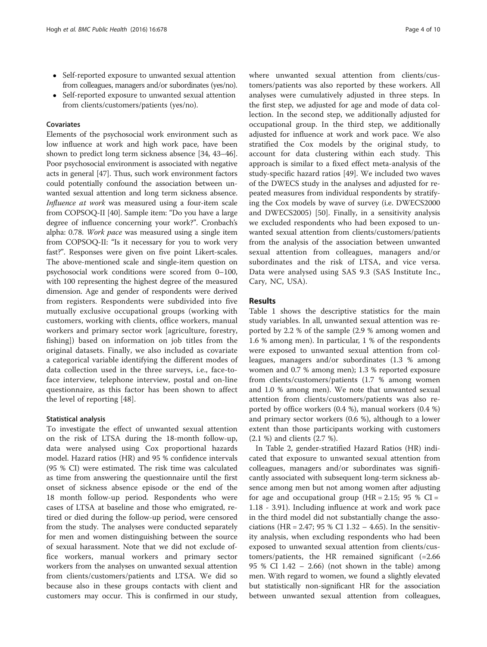- Self-reported exposure to unwanted sexual attention from colleagues, managers and/or subordinates (yes/no).
- Self-reported exposure to unwanted sexual attention from clients/customers/patients (yes/no).

#### Covariates

Elements of the psychosocial work environment such as low influence at work and high work pace, have been shown to predict long term sickness absence [\[34, 43](#page-8-0)–[46](#page-8-0)]. Poor psychosocial environment is associated with negative acts in general [\[47\]](#page-9-0). Thus, such work environment factors could potentially confound the association between unwanted sexual attention and long term sickness absence. Influence at work was measured using a four-item scale from COPSOQ-II [\[40](#page-8-0)]. Sample item: "Do you have a large degree of influence concerning your work?". Cronbach's alpha: 0.78. Work pace was measured using a single item from COPSOQ-II: "Is it necessary for you to work very fast?". Responses were given on five point Likert-scales. The above-mentioned scale and single-item question on psychosocial work conditions were scored from 0–100, with 100 representing the highest degree of the measured dimension. Age and gender of respondents were derived from registers. Respondents were subdivided into five mutually exclusive occupational groups (working with customers, working with clients, office workers, manual workers and primary sector work [agriculture, forestry, fishing]) based on information on job titles from the original datasets. Finally, we also included as covariate a categorical variable identifying the different modes of data collection used in the three surveys, i.e., face-toface interview, telephone interview, postal and on-line questionnaire, as this factor has been shown to affect the level of reporting [[48\]](#page-9-0).

#### Statistical analysis

To investigate the effect of unwanted sexual attention on the risk of LTSA during the 18-month follow-up, data were analysed using Cox proportional hazards model. Hazard ratios (HR) and 95 % confidence intervals (95 % CI) were estimated. The risk time was calculated as time from answering the questionnaire until the first onset of sickness absence episode or the end of the 18 month follow-up period. Respondents who were cases of LTSA at baseline and those who emigrated, retired or died during the follow-up period, were censored from the study. The analyses were conducted separately for men and women distinguishing between the source of sexual harassment. Note that we did not exclude office workers, manual workers and primary sector workers from the analyses on unwanted sexual attention from clients/customers/patients and LTSA. We did so because also in these groups contacts with client and customers may occur. This is confirmed in our study,

where unwanted sexual attention from clients/customers/patients was also reported by these workers. All analyses were cumulatively adjusted in three steps. In the first step, we adjusted for age and mode of data collection. In the second step, we additionally adjusted for occupational group. In the third step, we additionally adjusted for influence at work and work pace. We also stratified the Cox models by the original study, to account for data clustering within each study. This approach is similar to a fixed effect meta-analysis of the study-specific hazard ratios [[49\]](#page-9-0). We included two waves of the DWECS study in the analyses and adjusted for repeated measures from individual respondents by stratifying the Cox models by wave of survey (i.e. DWECS2000 and DWECS2005) [[50](#page-9-0)]. Finally, in a sensitivity analysis we excluded respondents who had been exposed to unwanted sexual attention from clients/customers/patients from the analysis of the association between unwanted sexual attention from colleagues, managers and/or subordinates and the risk of LTSA, and vice versa. Data were analysed using SAS 9.3 (SAS Institute Inc., Cary, NC, USA).

#### Results

Table [1](#page-4-0) shows the descriptive statistics for the main study variables. In all, unwanted sexual attention was reported by 2.2 % of the sample (2.9 % among women and 1.6 % among men). In particular, 1 % of the respondents were exposed to unwanted sexual attention from colleagues, managers and/or subordinates (1.3 % among women and 0.7 % among men); 1.3 % reported exposure from clients/customers/patients (1.7 % among women and 1.0 % among men). We note that unwanted sexual attention from clients/customers/patients was also reported by office workers (0.4 %), manual workers (0.4 %) and primary sector workers (0.6 %), although to a lower extent than those participants working with customers (2.1 %) and clients (2.7 %).

In Table [2](#page-4-0), gender-stratified Hazard Ratios (HR) indicated that exposure to unwanted sexual attention from colleagues, managers and/or subordinates was significantly associated with subsequent long-term sickness absence among men but not among women after adjusting for age and occupational group ( $HR = 2.15$ ; 95 % CI = 1.18 - 3.91). Including influence at work and work pace in the third model did not substantially change the associations (HR = 2.47; 95 % CI 1.32 – 4.65). In the sensitivity analysis, when excluding respondents who had been exposed to unwanted sexual attention from clients/customers/patients, the HR remained significant (=2.66 95 % CI 1.42 – 2.66) (not shown in the table) among men. With regard to women, we found a slightly elevated but statistically non-significant HR for the association between unwanted sexual attention from colleagues,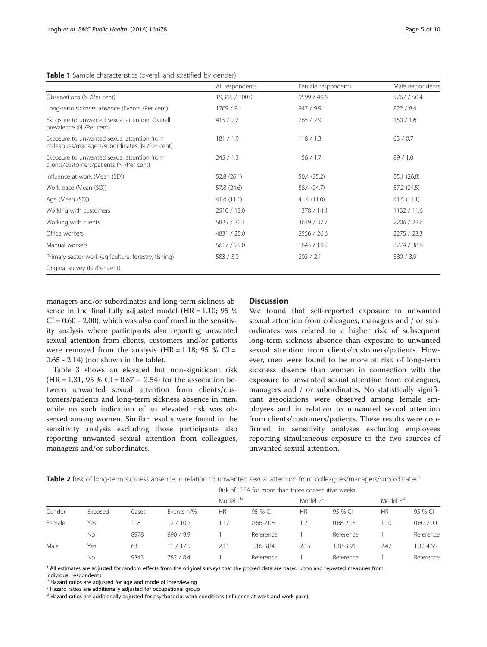<span id="page-4-0"></span>

|  | Table 1 Sample characteristics (overall and stratified by gender) |  |  |  |
|--|-------------------------------------------------------------------|--|--|--|
|--|-------------------------------------------------------------------|--|--|--|

|                                                                                              | All respondents | Female respondents | Male respondents |
|----------------------------------------------------------------------------------------------|-----------------|--------------------|------------------|
| Observations (N /Per cent)                                                                   | 19,366 / 100.0  | 9599 / 49.6        | 9767 / 50.4      |
| Long-term sickness absence (Events /Per cent)                                                | 1769 / 9.1      | 947 / 9.9          | 822 / 8.4        |
| Exposure to unwanted sexual attention: Overall<br>prevalence (N /Per cent)                   | 415 / 2.2       | 265 / 2.9          | 150/1.6          |
| Exposure to unwanted sexual attention from<br>colleagues/managers/subordinates (N /Per cent) | 181 / 1.0       | 118/1.3            | 63/0.7           |
| Exposure to unwanted sexual attention from<br>clients/customers/patients (N /Per cent)       | 245/1.3         | 156/1.7            | 89/1.0           |
| Influence at work (Mean (SD))                                                                | 52.8 (26.1)     | 50.4 (25.2)        | 55.1 (26.8)      |
| Work pace (Mean (SD))                                                                        | 57.8 (24.6)     | 58.4 (24.7)        | 57.2 (24.5)      |
| Age (Mean (SD))                                                                              | 41.4(11.1)      | 41.4 (11.0)        | 41.5(11.1)       |
| Working with customers                                                                       | 2510 / 13.0     | 1378 / 14.4        | 1132 / 11.6      |
| Working with clients                                                                         | 5825 / 30.1     | 3619 / 37.7        | 2206 / 22.6      |
| Office workers                                                                               | 4831 / 25.0     | 2556 / 26.6        | 2275 / 23.3      |
| Manual workers                                                                               | 5617 / 29.0     | 1843 / 19.2        | 3774 / 38.6      |
| Primary sector work (agriculture, forestry, fishing)                                         | 583 / 3.0       | 203 / 2.1          | 380 / 3.9        |
| Original survey (N /Per cent)                                                                |                 |                    |                  |

managers and/or subordinates and long-term sickness absence in the final fully adjusted model (HR = 1.10; 95 %  $CI = 0.60 - 2.00$ , which was also confirmed in the sensitivity analysis where participants also reporting unwanted sexual attention from clients, customers and/or patients were removed from the analysis ( $HR = 1.18$ ; 95 % CI = 0.65 - 2.14) (not shown in the table).

Table [3](#page-5-0) shows an elevated but non-significant risk  $(HR = 1.31, 95 % CI = 0.67 - 2.54)$  for the association between unwanted sexual attention from clients/customers/patients and long-term sickness absence in men, while no such indication of an elevated risk was observed among women. Similar results were found in the sensitivity analysis excluding those participants also reporting unwanted sexual attention from colleagues, managers and/or subordinates.

#### Discussion

We found that self-reported exposure to unwanted sexual attention from colleagues, managers and / or subordinates was related to a higher risk of subsequent long-term sickness absence than exposure to unwanted sexual attention from clients/customers/patients. However, men were found to be more at risk of long-term sickness absence than women in connection with the exposure to unwanted sexual attention from colleagues, managers and / or subordinates. No statistically significant associations were observed among female employees and in relation to unwanted sexual attention from clients/customers/patients. These results were confirmed in sensitivity analyses excluding employees reporting simultaneous exposure to the two sources of unwanted sexual attention.

|  |  | Table 2 Risk of long-term sickness absence in relation to unwanted sexual attention from colleagues/managers/subordinates <sup>a</sup> |  |  |  |  |
|--|--|----------------------------------------------------------------------------------------------------------------------------------------|--|--|--|--|
|--|--|----------------------------------------------------------------------------------------------------------------------------------------|--|--|--|--|

|        |           |       |            | Risk of LTSA for more than three consecutive weeks |               |             |               |                      |               |
|--------|-----------|-------|------------|----------------------------------------------------|---------------|-------------|---------------|----------------------|---------------|
|        |           |       |            | Model 1 <sup>b</sup>                               |               | Model $2^c$ |               | Model 3 <sup>d</sup> |               |
| Gender | Exposed   | Cases | Events n/% | <b>HR</b>                                          | 95 % CL       | <b>HR</b>   | 95 % CI       | <b>HR</b>            | 95 % CI       |
| Female | Yes       | 118   | 12/10.2    | 1.17                                               | $0.66 - 2.08$ | 1.21        | $0.68 - 2.15$ | 1.10                 | $0.60 - 2.00$ |
|        | <b>No</b> | 8978  | 890/9.9    |                                                    | Reference     |             | Reference     |                      | Reference     |
| Male   | Yes       | 63    | 11/17.5    | 2.11                                               | 1.16-3.84     | 2.15        | 1.18-3.91     | 2.47                 | 32-4.65       |
|        | <b>No</b> | 9343  | 782 / 8.4  |                                                    | Reference     |             | Reference     |                      | Reference     |

<sup>a</sup> All estimates are adjusted for random effects from the original surveys that the pooled data are based upon and repeated measures from

individual respondents

b Hazard ratios are adjusted for age and mode of interviewing

<sup>c</sup> Hazard ratios are additionally adjusted for occupational group

<sup>d</sup> Hazard ratios are additionally adjusted for psychosocial work conditions (influence at work and work pace)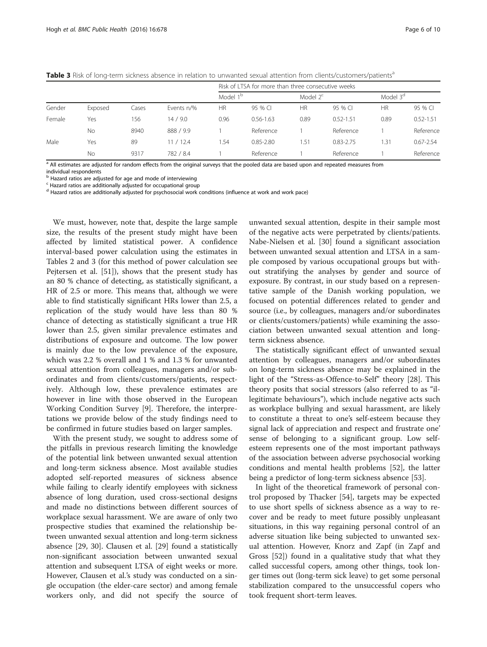<span id="page-5-0"></span>Table 3 Risk of long-term sickness absence in relation to unwanted sexual attention from clients/customers/patients<sup>a</sup>

|        |         |       |            | Risk of LTSA for more than three consecutive weeks |               |             |               |                      |               |
|--------|---------|-------|------------|----------------------------------------------------|---------------|-------------|---------------|----------------------|---------------|
|        |         |       |            | Model 1 <sup>b</sup>                               |               | Model $2^c$ |               | Model 3 <sup>d</sup> |               |
| Gender | Exposed | Cases | Events n/% | <b>HR</b>                                          | 95 % CI       | HR          | 95 % CI       | <b>HR</b>            | 95 % CI       |
| Female | Yes     | 56    | 14/9.0     | 0.96                                               | $0.56 - 1.63$ | 0.89        | $0.52 - 1.51$ | 0.89                 | $0.52 - 1.51$ |
|        | No      | 8940  | 888 / 9.9  |                                                    | Reference     |             | Reference     |                      | Reference     |
| Male   | Yes     | 89    | 11/12.4    | .54                                                | $0.85 - 2.80$ | .51         | $0.83 - 2.75$ | .31                  | $0.67 - 2.54$ |
|        | No      | 9317  | 782 / 8.4  |                                                    | Reference     |             | Reference     |                      | Reference     |

<sup>a</sup> All estimates are adjusted for random effects from the original surveys that the pooled data are based upon and repeated measures from individual respondents

**b** Hazard ratios are adjusted for age and mode of interviewing

<sup>c</sup> Hazard ratios are additionally adjusted for occupational group

<sup>d</sup> Hazard ratios are additionally adjusted for psychosocial work conditions (influence at work and work pace)

We must, however, note that, despite the large sample size, the results of the present study might have been affected by limited statistical power. A confidence interval-based power calculation using the estimates in Tables [2](#page-4-0) and 3 (for this method of power calculation see Pejtersen et al. [[51\]](#page-9-0)), shows that the present study has an 80 % chance of detecting, as statistically significant, a HR of 2.5 or more. This means that, although we were able to find statistically significant HRs lower than 2.5, a replication of the study would have less than 80 % chance of detecting as statistically significant a true HR lower than 2.5, given similar prevalence estimates and distributions of exposure and outcome. The low power is mainly due to the low prevalence of the exposure, which was 2.2 % overall and 1 % and 1.3 % for unwanted sexual attention from colleagues, managers and/or subordinates and from clients/customers/patients, respectively. Although low, these prevalence estimates are however in line with those observed in the European Working Condition Survey [[9\]](#page-8-0). Therefore, the interpretations we provide below of the study findings need to be confirmed in future studies based on larger samples.

With the present study, we sought to address some of the pitfalls in previous research limiting the knowledge of the potential link between unwanted sexual attention and long-term sickness absence. Most available studies adopted self-reported measures of sickness absence while failing to clearly identify employees with sickness absence of long duration, used cross-sectional designs and made no distinctions between different sources of workplace sexual harassment. We are aware of only two prospective studies that examined the relationship between unwanted sexual attention and long-term sickness absence [\[29](#page-8-0), [30\]](#page-8-0). Clausen et al. [\[29](#page-8-0)] found a statistically non-significant association between unwanted sexual attention and subsequent LTSA of eight weeks or more. However, Clausen et al.'s study was conducted on a single occupation (the elder-care sector) and among female workers only, and did not specify the source of

unwanted sexual attention, despite in their sample most of the negative acts were perpetrated by clients/patients. Nabe-Nielsen et al. [\[30\]](#page-8-0) found a significant association between unwanted sexual attention and LTSA in a sample composed by various occupational groups but without stratifying the analyses by gender and source of exposure. By contrast, in our study based on a representative sample of the Danish working population, we focused on potential differences related to gender and source (i.e., by colleagues, managers and/or subordinates or clients/customers/patients) while examining the association between unwanted sexual attention and longterm sickness absence.

The statistically significant effect of unwanted sexual attention by colleagues, managers and/or subordinates on long-term sickness absence may be explained in the light of the "Stress-as-Offence-to-Self" theory [\[28](#page-8-0)]. This theory posits that social stressors (also referred to as "illegitimate behaviours"), which include negative acts such as workplace bullying and sexual harassment, are likely to constitute a threat to one's self-esteem because they signal lack of appreciation and respect and frustrate one' sense of belonging to a significant group. Low selfesteem represents one of the most important pathways of the association between adverse psychosocial working conditions and mental health problems [[52\]](#page-9-0), the latter being a predictor of long-term sickness absence [\[53\]](#page-9-0).

In light of the theoretical framework of personal control proposed by Thacker [\[54](#page-9-0)], targets may be expected to use short spells of sickness absence as a way to recover and be ready to meet future possibly unpleasant situations, in this way regaining personal control of an adverse situation like being subjected to unwanted sexual attention. However, Knorz and Zapf (in Zapf and Gross [[52](#page-9-0)]) found in a qualitative study that what they called successful copers, among other things, took longer times out (long-term sick leave) to get some personal stabilization compared to the unsuccessful copers who took frequent short-term leaves.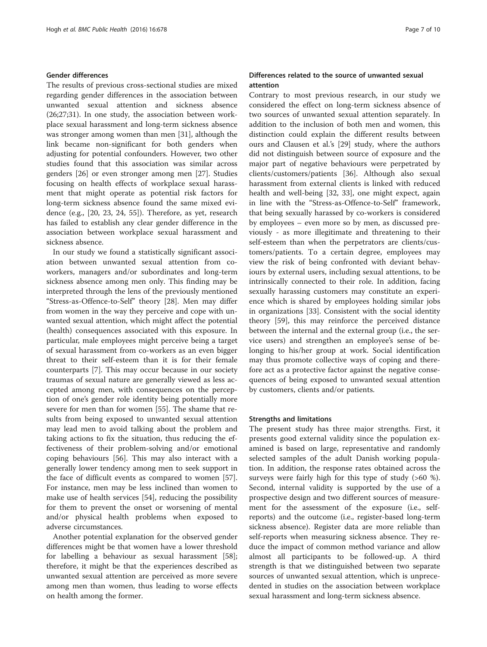#### Gender differences

The results of previous cross-sectional studies are mixed regarding gender differences in the association between unwanted sexual attention and sickness absence (26;27;31). In one study, the association between workplace sexual harassment and long-term sickness absence was stronger among women than men [[31\]](#page-8-0), although the link became non-significant for both genders when adjusting for potential confounders. However, two other studies found that this association was similar across genders [\[26](#page-8-0)] or even stronger among men [\[27\]](#page-8-0). Studies focusing on health effects of workplace sexual harassment that might operate as potential risk factors for long-term sickness absence found the same mixed evidence (e.g., [\[20, 23, 24,](#page-8-0) [55\]](#page-9-0)). Therefore, as yet, research has failed to establish any clear gender difference in the association between workplace sexual harassment and sickness absence.

In our study we found a statistically significant association between unwanted sexual attention from coworkers, managers and/or subordinates and long-term sickness absence among men only. This finding may be interpreted through the lens of the previously mentioned "Stress-as-Offence-to-Self" theory [[28\]](#page-8-0). Men may differ from women in the way they perceive and cope with unwanted sexual attention, which might affect the potential (health) consequences associated with this exposure. In particular, male employees might perceive being a target of sexual harassment from co-workers as an even bigger threat to their self-esteem than it is for their female counterparts [\[7](#page-8-0)]. This may occur because in our society traumas of sexual nature are generally viewed as less accepted among men, with consequences on the perception of one's gender role identity being potentially more severe for men than for women [\[55\]](#page-9-0). The shame that results from being exposed to unwanted sexual attention may lead men to avoid talking about the problem and taking actions to fix the situation, thus reducing the effectiveness of their problem-solving and/or emotional coping behaviours [\[56](#page-9-0)]. This may also interact with a generally lower tendency among men to seek support in the face of difficult events as compared to women [\[57](#page-9-0)]. For instance, men may be less inclined than women to make use of health services [\[54](#page-9-0)], reducing the possibility for them to prevent the onset or worsening of mental and/or physical health problems when exposed to adverse circumstances.

Another potential explanation for the observed gender differences might be that women have a lower threshold for labelling a behaviour as sexual harassment [\[58](#page-9-0)]; therefore, it might be that the experiences described as unwanted sexual attention are perceived as more severe among men than women, thus leading to worse effects on health among the former.

#### Differences related to the source of unwanted sexual attention

Contrary to most previous research, in our study we considered the effect on long-term sickness absence of two sources of unwanted sexual attention separately. In addition to the inclusion of both men and women, this distinction could explain the different results between ours and Clausen et al.'s [\[29](#page-8-0)] study, where the authors did not distinguish between source of exposure and the major part of negative behaviours were perpetrated by clients/customers/patients [[36](#page-8-0)]. Although also sexual harassment from external clients is linked with reduced health and well-being [\[32](#page-8-0), [33](#page-8-0)], one might expect, again in line with the "Stress-as-Offence-to-Self" framework, that being sexually harassed by co-workers is considered by employees – even more so by men, as discussed previously - as more illegitimate and threatening to their self-esteem than when the perpetrators are clients/customers/patients. To a certain degree, employees may view the risk of being confronted with deviant behaviours by external users, including sexual attentions, to be intrinsically connected to their role. In addition, facing sexually harassing customers may constitute an experience which is shared by employees holding similar jobs in organizations [[33](#page-8-0)]. Consistent with the social identity theory [\[59\]](#page-9-0), this may reinforce the perceived distance between the internal and the external group (i.e., the service users) and strengthen an employee's sense of belonging to his/her group at work. Social identification may thus promote collective ways of coping and therefore act as a protective factor against the negative consequences of being exposed to unwanted sexual attention by customers, clients and/or patients.

#### Strengths and limitations

The present study has three major strengths. First, it presents good external validity since the population examined is based on large, representative and randomly selected samples of the adult Danish working population. In addition, the response rates obtained across the surveys were fairly high for this type of study (>60 %). Second, internal validity is supported by the use of a prospective design and two different sources of measurement for the assessment of the exposure (i.e., selfreports) and the outcome (i.e., register-based long-term sickness absence). Register data are more reliable than self-reports when measuring sickness absence. They reduce the impact of common method variance and allow almost all participants to be followed-up. A third strength is that we distinguished between two separate sources of unwanted sexual attention, which is unprecedented in studies on the association between workplace sexual harassment and long-term sickness absence.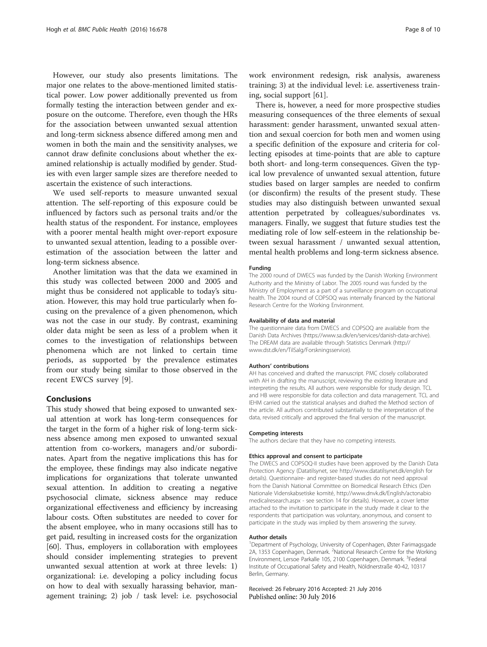However, our study also presents limitations. The major one relates to the above-mentioned limited statistical power. Low power additionally prevented us from formally testing the interaction between gender and exposure on the outcome. Therefore, even though the HRs for the association between unwanted sexual attention and long-term sickness absence differed among men and women in both the main and the sensitivity analyses, we cannot draw definite conclusions about whether the examined relationship is actually modified by gender. Studies with even larger sample sizes are therefore needed to ascertain the existence of such interactions.

We used self-reports to measure unwanted sexual attention. The self-reporting of this exposure could be influenced by factors such as personal traits and/or the health status of the respondent. For instance, employees with a poorer mental health might over-report exposure to unwanted sexual attention, leading to a possible overestimation of the association between the latter and long-term sickness absence.

Another limitation was that the data we examined in this study was collected between 2000 and 2005 and might thus be considered not applicable to today's situation. However, this may hold true particularly when focusing on the prevalence of a given phenomenon, which was not the case in our study. By contrast, examining older data might be seen as less of a problem when it comes to the investigation of relationships between phenomena which are not linked to certain time periods, as supported by the prevalence estimates from our study being similar to those observed in the recent EWCS survey [\[9](#page-8-0)].

#### Conclusions

This study showed that being exposed to unwanted sexual attention at work has long-term consequences for the target in the form of a higher risk of long-term sickness absence among men exposed to unwanted sexual attention from co-workers, managers and/or subordinates. Apart from the negative implications this has for the employee, these findings may also indicate negative implications for organizations that tolerate unwanted sexual attention. In addition to creating a negative psychosocial climate, sickness absence may reduce organizational effectiveness and efficiency by increasing labour costs. Often substitutes are needed to cover for the absent employee, who in many occasions still has to get paid, resulting in increased costs for the organization [[60\]](#page-9-0). Thus, employers in collaboration with employees should consider implementing strategies to prevent unwanted sexual attention at work at three levels: 1) organizational: i.e. developing a policy including focus on how to deal with sexually harassing behavior, management training; 2) job / task level: i.e. psychosocial

work environment redesign, risk analysis, awareness training; 3) at the individual level: i.e. assertiveness training, social support [\[61\]](#page-9-0).

There is, however, a need for more prospective studies measuring consequences of the three elements of sexual harassment: gender harassment, unwanted sexual attention and sexual coercion for both men and women using a specific definition of the exposure and criteria for collecting episodes at time-points that are able to capture both short- and long-term consequences. Given the typical low prevalence of unwanted sexual attention, future studies based on larger samples are needed to confirm (or disconfirm) the results of the present study. These studies may also distinguish between unwanted sexual attention perpetrated by colleagues/subordinates vs. managers. Finally, we suggest that future studies test the mediating role of low self-esteem in the relationship between sexual harassment / unwanted sexual attention, mental health problems and long-term sickness absence.

#### Funding

The 2000 round of DWECS was funded by the Danish Working Environment Authority and the Ministry of Labor. The 2005 round was funded by the Ministry of Employment as a part of a surveillance program on occupational health. The 2004 round of COPSOQ was internally financed by the National Research Centre for the Working Environment.

#### Availability of data and material

The questionnaire data from DWECS and COPSOQ are available from the Danish Data Archives (<https://www.sa.dk/en/services/danish-data-archive>). The DREAM data are available through Statistics Denmark [\(http://](http://www.dst.dk/en/TilSalg/Forskningsservice) [www.dst.dk/en/TilSalg/Forskningsservice](http://www.dst.dk/en/TilSalg/Forskningsservice)).

#### Authors' contributions

AH has conceived and drafted the manuscript. PMC closely collaborated with AH in drafting the manuscript, reviewing the existing literature and interpreting the results. All authors were responsible for study design. TCL and HB were responsible for data collection and data management. TCL and IEHM carried out the statistical analyses and drafted the Method section of the article. All authors contributed substantially to the interpretation of the data, revised critically and approved the final version of the manuscript.

#### Competing interests

The authors declare that they have no competing interests.

#### Ethics approval and consent to participate

The DWECS and COPSOQ-II studies have been approved by the Danish Data Protection Agency (Datatilsynet, see<http://www.datatilsynet.dk/english> for details). Questionnaire- and register-based studies do not need approval from the Danish National Committee on Biomedical Research Ethics (Den Nationale Videnskabsetiske komité, [http://www.dnvk.dk/English/actonabio](http://www.dnvk.dk/English/actonabiomedicalresearch.aspx) [medicalresearch.aspx](http://www.dnvk.dk/English/actonabiomedicalresearch.aspx) - see section 14 for details). However, a cover letter attached to the invitation to participate in the study made it clear to the respondents that participation was voluntary, anonymous, and consent to participate in the study was implied by them answering the survey.

#### Author details

<sup>1</sup>Department of Psychology, University of Copenhagen, Øster Farimagsgade 2A, 1353 Copenhagen, Denmark. <sup>2</sup>National Research Centre for the Working Environment, Lersoe Parkalle 105, 2100 Copenhagen, Denmark. <sup>3</sup>Federal Institute of Occupational Safety and Health, Nöldnerstraße 40-42, 10317 Berlin, Germany.

Received: 26 February 2016 Accepted: 21 July 2016 Published online: 30 July 2016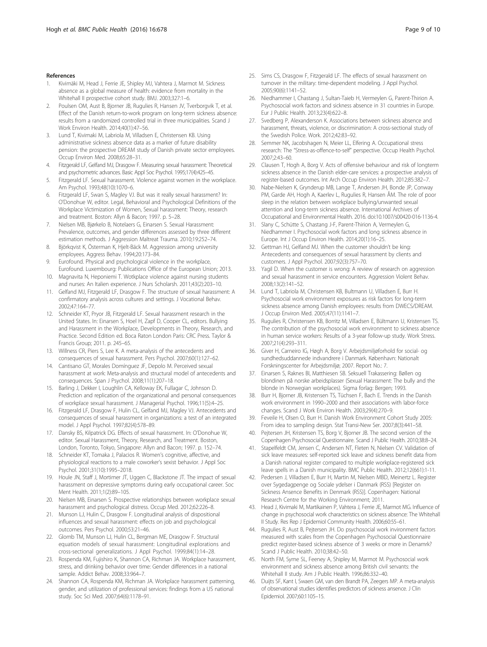#### <span id="page-8-0"></span>References

- Kivimäki M, Head J, Ferrie JE, Shipley MJ, Vahtera J, Marmot M. Sickness absence as a global measure of health: evidence from mortality in the Whitehall II prospective cohort study. BMJ. 2003;327:1–6.
- 2. Poulsen OM, Aust B, Bjorner JB, Rugulies R, Hansen JV, Tverborgvik T, et al. Effect of the Danish return-to-work program on long-term sickness absence: results from a randomized controlled trial in three municipalities. Scand J Work Environ Health. 2014;40(1):47–56.
- 3. Lund T, Kivimaki M, Labriola M, Villadsen E, Christensen KB. Using administrative sickness absence data as a marker of future disability pension: the prospective DREAM study of Danish private sector employees. Occup Environ Med. 2008;65:28–31.
- 4. Fitzgerald LF, Gelfand MJ, Drasgow F. Measuring sexual harassment: Theoretical and psychometric advances. Basic Appl Soc Psychol. 1995;17(4):425–45.
- 5. Fitzgerald LF. Sexual harassment. Violence against women in the workplace. Am Psychol. 1993;48(10):1070–6.
- 6. Fitzgerald LF, Swan S, Magley VJ. But was it really sexual harassment? In: O'Donohue W, editor. Legal, Behavioral and Psychological Definitions of the Workplace Victimization of Women, Sexual harassment: Theory, research and treatment. Boston: Allyn & Bacon; 1997. p. 5–28.
- 7. Nielsen MB, Bjørkelo B, Notelaers G, Einarsen S. Sexual Harassment: Prevalence, outcomes, and gender differences assessed by three different estimation methods. J Aggression Maltreat Trauma. 2010;19:252–74.
- 8. Björkqvist K, Österman K, Hjelt-Bäck M. Aggression among university employees. Aggress Behav. 1994;20:173–84.
- 9. Eurofound. Physical and psychological violence in the workplace, Eurofound. Luxembourg: Publications Office of the European Union; 2013.
- 10. Magnavita N, Heponiemi T. Wotkplace violence against nursing students and nurses: An Italien experience. J Nurs Scholarsh. 2011;43(2):203–10.
- 11. Gelfand MJ, Fitzgerald LF, Drasgow F. The structure of sexual harassment: A confirmatory analysis across cultures and settings. J Vocational Behav. 2002;47:164–77.
- 12. Schneider KT, Pryor JB, Fitzgerald LF. Sexual harassment research in the United States. In: Einarsen S, Hoel H, Zapf D, Cooper CL, editors. Bullying and Harassment in the Workplace, Developments in Theory, Research, and Practice. Second Edition ed. Boca Raton London Paris: CRC Press. Taylor & Francis Group; 2011. p. 245–65.
- 13. Willness CR, Piers S, Lee K. A meta-analysis of the antecedents and consequences of sexual harassment. Pers Psychol. 2007;60(1):127–62.
- 14. Cantisano GT, Morales Domínguez JF, Depolo M. Perceived sexual harassment at work: Meta-analysis and structural model of antecedents and consequences. Span J Psychol. 2008;11(1):207–18.
- 15. Barling J, Dekker I, Loughlin CA, Kelloway EK, Fullagar C, Johnson D. Prediction and replication of the organizational and personal consequences of workplace sexual harassment. J Managerial Psychol. 1996;11(5):4–25.
- 16. Fitzgerald LF, Drasgow F, Hulin CL, Gelfand MJ, Magley VJ. Antecedents and consequences of sexual harassment in organizations: a test of an integrated model. J Appl Psychol. 1997;82(4):578–89.
- 17. Dansky BS, Kilpatrick DG. Effects of sexual harassment. In: O'Donohue W, editor. Sexual Harassment, Theory, Research, and Treatment. Boston, London, Toronto, Tokyo, Singapore: Allyn and Bacon; 1997. p. 152–74.
- 18. Schneider KT, Tomaka J, Palacios R. Women's cognitive, affective, and physiological reactions to a male coworker's sexist behavior. J Appl Soc Psychol. 2001;31(10):1995–2018.
- 19. Houle JN, Staff J, Mortimer JT, Uggen C, Blackstone JT. The impact of sexual harassment on depressive symptoms during early occupational career. Soc Ment Health. 2011;1(2):89–105.
- 20. Nielsen MB, Einarsen S. Prospective relationships between workplace sexual harassment and psychological distress. Occup Med. 2012;62:226–8.
- 21. Munson LJ, Hulin C, Drasgow F. Longitudinal analysis of dispositional influences and sexual harassment: effects on job and psychological outcomes. Pers Psychol. 2000;53:21–46.
- 22. Glomb TM, Munson LJ, Hulin CL, Bergman ME, Drasgow F. Structural equation models of sexual harassment: Longitudinal explorations and cross-sectional generalizations. J Appl Psychol. 1999;84(1):14–28.
- 23. Rospenda KM, Fujishiro K, Shannon CA, Richman JA. Workplace harassment, stress, and drinking behavior over time: Gender differences in a national sample. Addict Behav. 2008;33:964–7.
- 24. Shannon CA, Rospenda KM, Richman JA. Workplace harassment patterning, gender, and utilization of professional services: findings from a US national study. Soc Sci Med. 2007;64(6):1178–91.
- 25. Sims CS, Drasgow F, Fitzgerald LF. The effects of sexual harassment on turnover in the military: time-dependent modeling. J Appl Psychol. 2005;90(6):1141–52.
- 26. Niedhammer I, Chastang J, Sultan-Taieb H, Vermeylen G, Parent-Thirion A. Psychosocial work factors and sickness absence in 31 countries in Europe. Eur J Public Health. 2013;23(4):622–8.
- Svedberg P, Alexanderson K. Associations between sickness absence and harassment, threats, violence, or discrimination: A cross-sectional study of the Swedish Police. Work. 2012;42:83–92.
- 28. Semmer NK, Jacobshagen N, Meier LL, Elfering A. Occupational stress research: The "Stress-as-offence-to-self" perspective. Occup Health Psychol. 2007;2:43–60.
- 29. Clausen T, Hogh A, Borg V. Acts of offensive behaviour and risk of longterm sickness absence in the Danish elder-care services: a prospective analysis of register-based outcomes. Int Arch Occup Environ Health. 2012;85:382–7.
- 30. Nabe-Nielsen K, Grynderup MB, Lange T, Andersen JH, Bonde JP, Conway PM, Garde AH, Hogh A, Kaerlev L, Rugulies R, Hansen ÅM. The role of poor sleep in the relation between workplace bullying/unwanted sexual attention and long-term sickness absence. International Archives of Occupational and Environmental Health. 2016. doi:[10.1007/s00420-016-1136-4.](http://dx.doi.org/10.1007/s00420-016-1136-4)
- 31. Slany C, Schütte S, Chastang J-F, Parent-Thirion A, Vermeylen G, Niedhammer I. Psychosocial work factors and long sickness absence in Europe. Int J Occup Environ Health. 2014;20(1):16–25.
- 32. Gettman HJ, Gelfand MJ. When the customer shouldn't be king: Antecedents and consequences of sexual harassment by clients and customers. J Appl Psychol. 2007;92(3):757–70.
- 33. Yagil D. When the customer is wrong: A review of research on aggression and sexual harassment in service encounters. Aggression Violent Behav. 2008;13(2):141–52.
- 34. Lund T, Labriola M, Christensen KB, Bultmann U, Villadsen E, Burr H. Psychosocial work environment exposures as risk factors for long-term sickness absence among Danish employees: results from DWECS/DREAM. J Occup Environ Med. 2005;47(11):1141–7.
- 35. Rugulies R, Christensen KB, Borritz M, Villadsen E, Bültmann U, Kristensen TS. The contribution of the psychosocial work environment to sickness absence in human service workers: Results of a 3-year follow-up study. Work Stress. 2007;21(4):293–311.
- 36. Giver H, Carneiro IG, Høgh A, Borg V. Arbejdsmiljøforhold for social- og sundhedsuddannede indvandrere i Danmark. København: Nationalt Forskningscenter for Arbejdsmiljø; 2007. Report No.: 7.
- 37. Einarsen S, Raknes BI, Matthiesen SB. Seksuell Trakassering: Bøllen og blondinen på norske arbeidsplasser (Sexual Harassment: The bully and the blonde in Norwegian workplaces). Sigma forlag: Bergen; 1993.
- 38. Burr H, Bjorner JB, Kristensen TS, Tüchsen F, Bach E. Trends in the Danish work environment in 1990–2000 and their associations with labor-force changes. Scand J Work Environ Health. 2003;29(4):270–9.
- Feveile H, Olsen O, Burr H. Danish Work Environment Cohort Study 2005: From idea to sampling design. Stat Transi-New Ser. 2007;8(3):441–58.
- 40. Pejtersen JH, Kristensen TS, Borg V, Bjorner JB. The second version of the Copenhagen Psychosocial Questionnaire. Scand J Public Health. 2010;38:8–24.
- 41. Stapelfeldt CM, Jensen C, Andersen NT, Fleten N, Nielsen CV. Validation of sick leave measures: self-reported sick leave and sickness benefit data from a Danish national register compared to multiple workplace-registered sick leave spells in a Danish municipality. BMC Public Health. 2012;12(661):1-11.
- 42. Pedersen J, Villadsen E, Burr H, Martin M, Nielsen MBD, Meinertz L. Register over Sygedagpenge og Sociale ydelser i Danmark (RSS) [Register on Sickness Ansence Benefits in Denmark (RSS)]. Copenhagen: National Research Centre for the Working Environment; 2011.
- 43. Head J, Kivimaki M, Martikainen P, Vahtera J, Ferrie JE, Marmot MG. Influence of change in psychosocial work characteristics on sickness absence: The Whitehall II Study. Res Rep J Epidemiol Community Health. 2006;60:55–61.
- 44. Rugulies R, Aust B, Pejtersen JH. Do psychosocial work invironment factors measured with scales from the Copenhagen Psychosocial Questionnaire predict register-based sickness absence of 3 weeks or more in Denamrk? Scand J Public Health. 2010;38:42–50.
- 45. North FM, Syme SL, Feeney A, Shipley M, Marmot M. Psychosocial work environment and sickness absence among British civil servants: the Whitehall II study. Am J Public Health. 1996;86:332–40.
- 46. Duijts SF, Kant I, Swaen GM, van den Brandt PA, Zeegers MP. A meta-analysis of observational studies identifies predictors of sickness ansence. J Clin Epidemiol. 2007;60:1105–15.